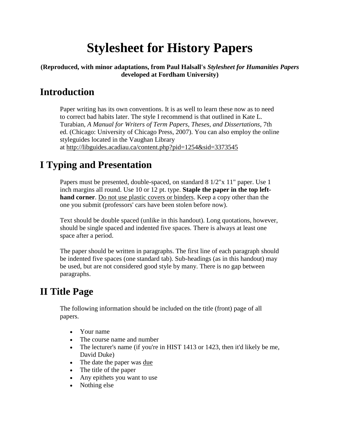# **Stylesheet for History Papers**

#### **(Reproduced, with minor adaptations, from Paul Halsall's** *Stylesheet for Humanities Papers*  **developed at Fordham University)**

### **Introduction**

Paper writing has its own conventions. It is as well to learn these now as to need to correct bad habits later. The style I recommend is that outlined in Kate L. Turabian, *A Manual for Writers of Term Papers, Theses, and Dissertations*, 7th ed. (Chicago: University of Chicago Press, 2007). You can also employ the online styleguides located in the Vaughan Library at http://libguides.acadiau.ca/content.php?pid=1254&sid=3373545

### **I Typing and Presentation**

Papers must be presented, double-spaced, on standard 8 1/2"x 11" paper. Use 1 inch margins all round. Use 10 or 12 pt. type. **Staple the paper in the top lefthand corner**. Do not use plastic covers or binders. Keep a copy other than the one you submit (professors' cars have been stolen before now).

Text should be double spaced (unlike in this handout). Long quotations, however, should be single spaced and indented five spaces. There is always at least one space after a period.

The paper should be written in paragraphs. The first line of each paragraph should be indented five spaces (one standard tab). Sub-headings (as in this handout) may be used, but are not considered good style by many. There is no gap between paragraphs.

### **II Title Page**

The following information should be included on the title (front) page of all papers.

- Your name
- The course name and number
- The lecturer's name (if you're in HIST 1413 or 1423, then it'd likely be me, David Duke)
- The date the paper was due
- The title of the paper
- Any epithets you want to use
- Nothing else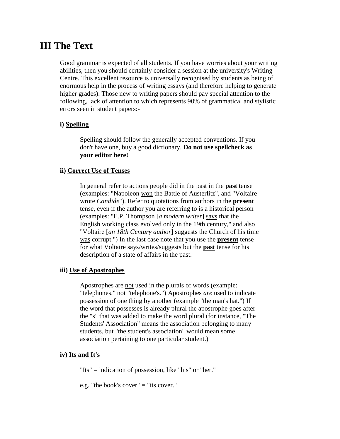### **III The Text**

Good grammar is expected of all students. If you have worries about your writing abilities, then you should certainly consider a session at the university's Writing Centre. This excellent resource is universally recognised by students as being of enormous help in the process of writing essays (and therefore helping to generate higher grades). Those new to writing papers should pay special attention to the following, lack of attention to which represents 90% of grammatical and stylistic errors seen in student papers:-

#### **i) Spelling**

Spelling should follow the generally accepted conventions. If you don't have one, buy a good dictionary. **Do not use spellcheck as your editor here!**

#### **ii) Correct Use of Tenses**

In general refer to actions people did in the past in the **past** tense (examples: "Napoleon won the Battle of Austerlitz", and "Voltaire wrote *Candide*"). Refer to quotations from authors in the **present** tense, even if the author you are referring to is a historical person (examples: "E.P. Thompson [*a modern writer*] says that the English working class evolved only in the 19th century," and also "Voltaire [*an 18th Century author*] suggests the Church of his time was corrupt.") In the last case note that you use the **present** tense for what Voltaire says/writes/suggests but the **past** tense for his description of a state of affairs in the past.

#### **iii) Use of Apostrophes**

Apostrophes are not used in the plurals of words (example: "telephones." not "telephone's.") Apostrophes *are* used to indicate possession of one thing by another (example "the man's hat.") If the word that possesses is already plural the apostrophe goes after the "s" that was added to make the word plural (for instance, "The Students' Association" means the association belonging to many students, but "the student's association" would mean some association pertaining to one particular student.)

#### **iv) Its and It's**

"Its" = indication of possession, like "his" or "her."

e.g. "the book's cover" = "its cover."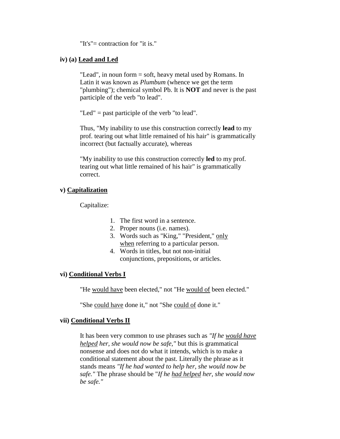"It's"= contraction for "it is."

#### **iv) (a) Lead and Led**

"Lead", in noun form = soft, heavy metal used by Romans. In Latin it was known as *Plumbum* (whence we get the term "plumbing"); chemical symbol Pb. It is **NOT** and never is the past participle of the verb "to lead".

"Led" = past participle of the verb "to lead".

Thus, "My inability to use this construction correctly **lead** to my prof. tearing out what little remained of his hair" is grammatically incorrect (but factually accurate), whereas

"My inability to use this construction correctly **led** to my prof. tearing out what little remained of his hair" is grammatically correct.

#### **v) Capitalization**

Capitalize:

- 1. The first word in a sentence.
- 2. Proper nouns (i.e. names).
- 3. Words such as "King," "President," only when referring to a particular person.
- 4. Words in titles, but not non-initial conjunctions, prepositions, or articles.

#### **vi) Conditional Verbs I**

"He would have been elected," not "He would of been elected."

"She could have done it," not "She could of done it."

#### **vii) Conditional Verbs II**

It has been very common to use phrases such as *"If he would have helped her, she would now be safe,"* but this is grammatical nonsense and does not do what it intends, which is to make a conditional statement about the past. Literally the phrase as it stands means *"If he had wanted to help her, she would now be safe."* The phrase should be "*If he had helped her, she would now be safe."*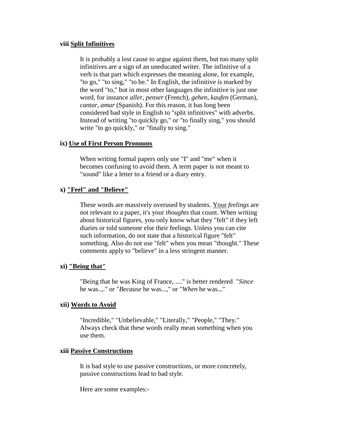#### **viii Split Infinitives**

It is probably a lost cause to argue against them, but too many split infinitives are a sign of an uneducated writer. The infinitive of a verb is that part which expresses the meaning alone, for example, "to go," "to sing," "to be." In English, the infinitive is marked by the word "to," but in most other languages the infinitive is just one word, for instance *aller*, *penser* (French), *gehen*, *kaufen* (German), *cantar*, *amar* (Spanish). For this reason, it has long been considered bad style in English to "split infinitives" with adverbs. Instead of writing "to quickly go," or "to finally sing," you should write "to go quickly," or "finally to sing."

#### **ix) Use of First Person Pronouns**

When writing formal papers only use "I" and "me" when it becomes confusing to avoid them. A term paper is not meant to "sound" like a letter to a friend or a diary entry.

#### **x) "Feel" and "Believe"**

These words are massively overused by students. Your *feelings* are not relevant to a paper, it's your *thoughts* that count. When writing about historical figures, you only know what they "felt" if they left diaries or told someone else their feelings. Unless you can cite such information, do not state that a historical figure "felt" something. Also do not use "felt" when you mean "thought." These comments apply to "believe" in a less stringent manner.

#### **xi) "Being that"**

"Being that he was King of France, ...." is better rendered "*Since* he was..,." or "*Because* he was...," or "*When* he was..."

#### **xii) Words to Avoid**

"Incredible," "Unbelievable," "Literally," "People," "They." Always check that these words really mean something when you use them.

#### **xiii Passive Constructions**

It is bad style to use passive constructions, or more concretely, passive constructions lead to bad style.

Here are some examples:-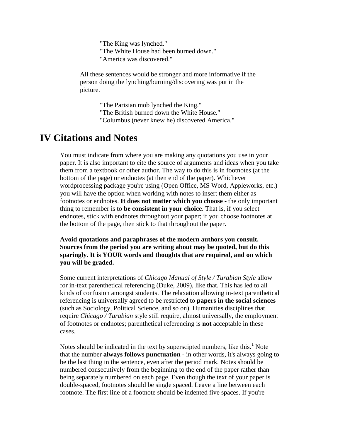"The King was lynched." "The White House had been burned down." "America was discovered."

All these sentences would be stronger and more informative if the person doing the lynching/burning/discovering was put in the picture.

> "The Parisian mob lynched the King." "The British burned down the White House." "Columbus (never knew he) discovered America."

### **IV Citations and Notes**

You must indicate from where you are making any quotations you use in your paper. It is also important to cite the source of arguments and ideas when you take them from a textbook or other author. The way to do this is in footnotes (at the bottom of the page) or endnotes (at then end of the paper). Whichever wordprocessing package you're using (Open Office, MS Word, Appleworks, etc.) you will have the option when working with notes to insert them either as footnotes or endnotes. **It does not matter which you choose** - the only important thing to remember is to **be consistent in your choice**. That is, if you select endnotes, stick with endnotes throughout your paper; if you choose footnotes at the bottom of the page, then stick to that throughout the paper.

**Avoid quotations and paraphrases of the modern authors you consult. Sources from the period you are writing about may be quoted, but do this sparingly. It is YOUR words and thoughts that are required, and on which you will be graded.**

Some current interpretations of *Chicago Manual of Style / Turabian Style* allow for in-text parenthetical referencing (Duke, 2009), like that. This has led to all kinds of confusion amongst students. The relaxation allowing in-text parenthetical referencing is universally agreed to be restricted to **papers in the social sciences**  (such as Sociology, Political Science, and so on). Humanities disciplines that require *Chicago / Turabian* style still require, almost universally, the employment of footnotes or endnotes; parenthetical referencing is **not** acceptable in these cases.

Notes should be indicated in the text by superscipted numbers, like this.<sup>1</sup> Note that the number **always follows punctuation** - in other words, it's always going to be the last thing in the sentence, even after the period mark. Notes should be numbered consecutively from the beginning to the end of the paper rather than being separately numbered on each page. Even though the text of your paper is double-spaced, footnotes should be single spaced. Leave a line between each footnote. The first line of a footnote should be indented five spaces. If you're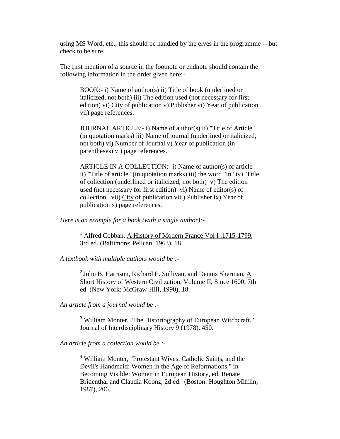using MS Word, etc., this should be handled by the elves in the programme -- but check to be sure.

The first mention of a source in the footnote or endnote should contain the following information in the order given here:-

BOOK:- i) Name of author(s) ii) Title of book (underlined or italicized, not both) iii) The edition used (not necessary for first edition) vi) City of publication v) Publisher vi) Year of publication vii) page references.

JOURNAL ARTICLE:- i) Name of author(s) ii) "Title of Article" (in quotation marks) iii) Name of journal (underlined or italicized, not both) vi) Number of Journal v) Year of publication (in parentheses) vi) page references.

ARTICLE IN A COLLECTION:- i) Name of author(s) of article ii) "Title of article" (in quotation marks) iii) the word "in" iv) Title of collection (underlined or italicized, not both) v) The edition used (not necessary for first edition) vi) Name of editor(s) of collection vii) City of publication viii) Publisher ix) Year of publication x) page references.

*Here is an example for a book (with a single author):-*

<sup>1</sup> Alfred Cobban, A History of Modern France Vol I:1715-1799, 3rd ed. (Baltimore: Pelican, 1963), 18.

*A textbook with multiple authors would be :-*

 $2$  John B. Harrison, Richard E. Sullivan, and Dennis Sherman, A Short History of Western Civilization, Volume II, Since 1600, 7th ed. (New York: McGraw-Hill, 1990), 18.

*An article from a journal would be :-*

<sup>3</sup> William Monter, "The Historiography of European Witchcraft," Journal of Interdisciplinary History 9 (1978), 450.

*An article from a collection would be :-*

<sup>4</sup> William Monter, "Protestant Wives, Catholic Saints, and the Devil's Handmaid: Women in the Age of Reformations," in Becoming Visible: Women in European History, ed. Renate Bridenthal and Claudia Koonz, 2d ed. (Boston: Houghton Mifflin, 1987), 206.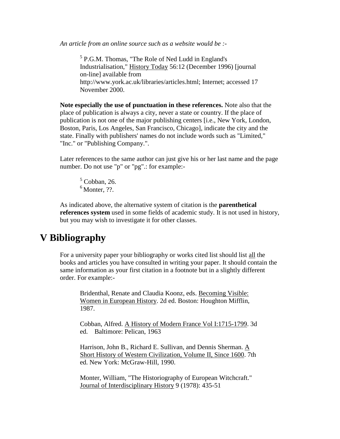*An article from an online source such as a website would be :-*

<sup>5</sup> P.G.M. Thomas, "The Role of Ned Ludd in England's Industrialisation," History Today 56:12 (December 1996) [journal on-line] available from http://www.york.ac.uk/libraries/articles.html; Internet; accessed 17 November 2000.

**Note especially the use of punctuation in these references.** Note also that the place of publication is always a city, never a state or country. If the place of publication is not one of the major publishing centers [i.e., New York, London, Boston, Paris, Los Angeles, San Francisco, Chicago], indicate the city and the state. Finally with publishers' names do not include words such as "Limited," "Inc." or "Publishing Company.".

Later references to the same author can just give his or her last name and the page number. Do not use "p" or "pg".: for example:-

 $5$  Cobban, 26.  $<sup>6</sup>$  Monter, ??.</sup>

As indicated above, the alternative system of citation is the **parenthetical references system** used in some fields of academic study. It is not used in history, but you may wish to investigate it for other classes.

### **V Bibliography**

For a university paper your bibliography or works cited list should list all the books and articles you have consulted in writing your paper. It should contain the same information as your first citation in a footnote but in a slightly different order. For example:-

Bridenthal, Renate and Claudia Koonz, eds. Becoming Visible: Women in European History. 2d ed. Boston: Houghton Mifflin, 1987.

Cobban, Alfred. A History of Modern France Vol I:1715-1799. 3d ed. Baltimore: Pelican, 1963

Harrison, John B., Richard E. Sullivan, and Dennis Sherman.  $\underline{A}$ Short History of Western Civilization, Volume II, Since 1600. 7th ed. New York: McGraw-Hill, 1990.

Monter, William, "The Historiography of European Witchcraft." Journal of Interdisciplinary History 9 (1978): 435-51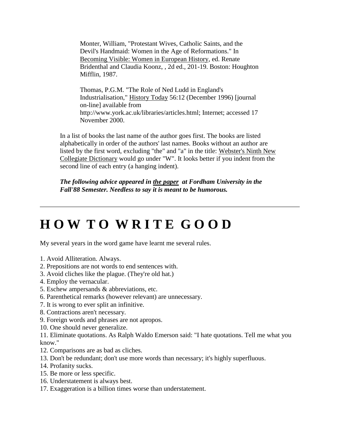Monter, William, "Protestant Wives, Catholic Saints, and the Devil's Handmaid: Women in the Age of Reformations." In Becoming Visible: Women in European History, ed. Renate Bridenthal and Claudia Koonz, , 2d ed., 201-19. Boston: Houghton Mifflin, 1987.

Thomas, P.G.M. "The Role of Ned Ludd in England's Industrialisation," History Today 56:12 (December 1996) [journal on-line] available from http://www.york.ac.uk/libraries/articles.html; Internet; accessed 17 November 2000.

In a list of books the last name of the author goes first. The books are listed alphabetically in order of the authors' last names. Books without an author are listed by the first word, excluding "the" and "a" in the title: Webster's Ninth New Collegiate Dictionary would go under "W". It looks better if you indent from the second line of each entry (a hanging indent).

*The following advice appeared in the paper at Fordham University in the Fall'88 Semester. Needless to say it is meant to be humorous.*

## **H O W T O W R I T E G O O D**

My several years in the word game have learnt me several rules.

- 1. Avoid Alliteration. Always.
- 2. Prepositions are not words to end sentences with.
- 3. Avoid cliches like the plague. (They're old hat.)
- 4. Employ the vernacular.
- 5. Eschew ampersands & abbreviations, etc.
- 6. Parenthetical remarks (however relevant) are unnecessary.
- 7. It is wrong to ever split an infinitive.
- 8. Contractions aren't necessary.
- 9. Foreign words and phrases are not apropos.
- 10. One should never generalize.

11. Eliminate quotations. As Ralph Waldo Emerson said: "I hate quotations. Tell me what you know."

- 12. Comparisons are as bad as cliches.
- 13. Don't be redundant; don't use more words than necessary; it's highly superfluous.
- 14. Profanity sucks.
- 15. Be more or less specific.
- 16. Understatement is always best.
- 17. Exaggeration is a billion times worse than understatement.